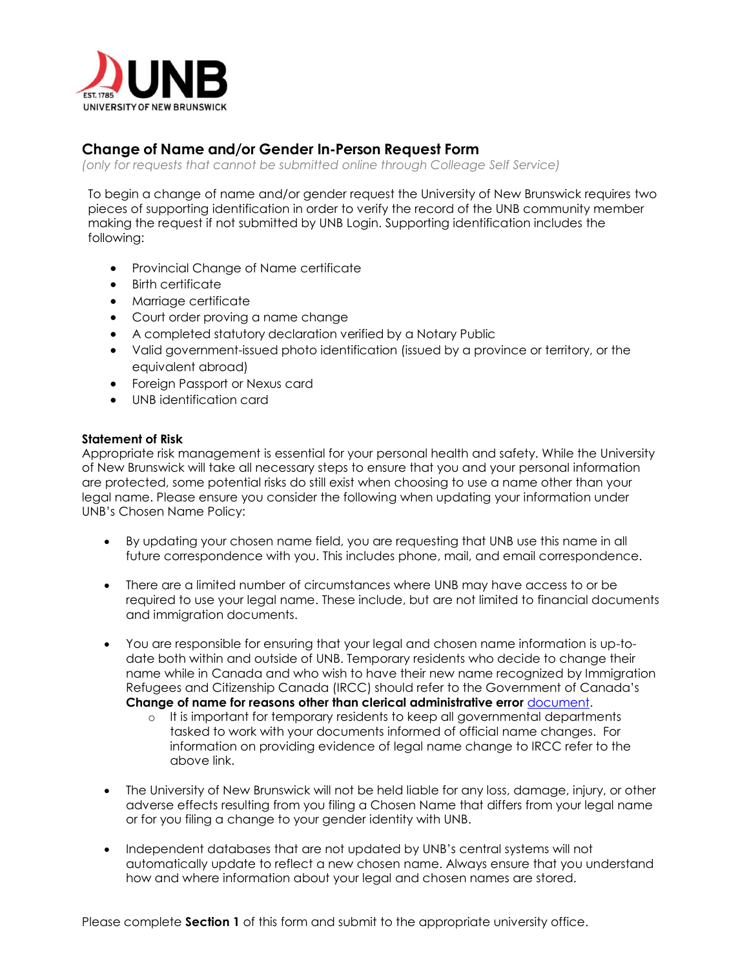

# **Change of Name and/or Gender In-Person Request Form**

*(only for requests that cannot be submitted online through Colleage Self Service)*

To begin a change of name and/or gender request the University of New Brunswick requires two pieces of supporting identification in order to verify the record of the UNB community member making the request if not submitted by UNB Login. Supporting identification includes the following:

- Provincial Change of Name certificate
- Birth certificate
- Marriage certificate
- Court order proving a name change
- A completed statutory declaration verified by a Notary Public
- Valid government-issued photo identification (issued by a province or territory, or the equivalent abroad)
- Foreign Passport or Nexus card
- UNB identification card

## **Statement of Risk**

Appropriate risk management is essential for your personal health and safety. While the University of New Brunswick will take all necessary steps to ensure that you and your personal information are protected, some potential risks do still exist when choosing to use a name other than your legal name. Please ensure you consider the following when updating your information under UNB's Chosen Name Policy:

- By updating your chosen name field, you are requesting that UNB use this name in all future correspondence with you. This includes phone, mail, and email correspondence.
- There are a limited number of circumstances where UNB may have access to or be required to use your legal name. These include, but are not limited to financial documents and immigration documents.
- You are responsible for ensuring that your legal and chosen name information is up-todate both within and outside of UNB. Temporary residents who decide to change their name while in Canada and who wish to have their new name recognized by Immigration Refugees and Citizenship Canada (IRCC) should refer to the Government of Canada's **Change of name for reasons other than clerical administrative error** [document.](https://www.canada.ca/en/immigration-refugees-citizenship/corporate/publications-manuals/operational-bulletins-manuals/identity-management/naming-procedures/managing-existing-records-change-name-request.html#other) 
	- o It is important for temporary residents to keep all governmental departments tasked to work with your documents informed of official name changes. For information on providing evidence of legal name change to IRCC refer to the above link.
- The University of New Brunswick will not be held liable for any loss, damage, injury, or other adverse effects resulting from you filing a Chosen Name that differs from your legal name or for you filing a change to your gender identity with UNB.
- Independent databases that are not updated by UNB's central systems will not automatically update to reflect a new chosen name. Always ensure that you understand how and where information about your legal and chosen names are stored.

Please complete **Section 1** of this form and submit to the appropriate university office.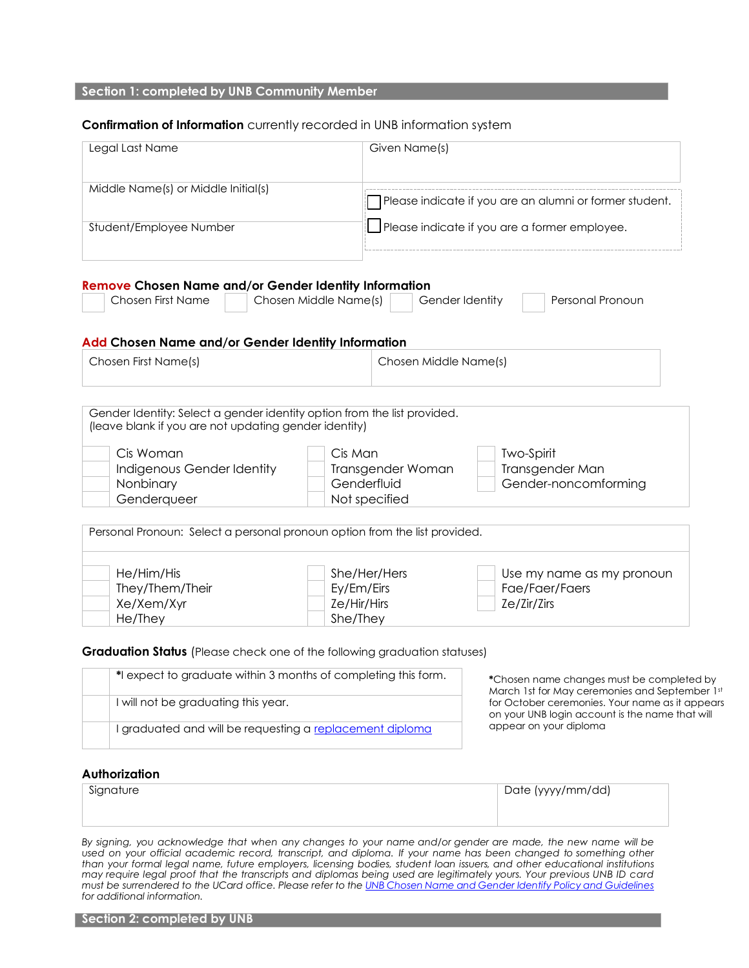### **Section 1: completed by UNB Community Member**

#### **Confirmation of Information** currently recorded in UNB information system

| Legal Last Name                                                                                                                                   | Given Name(s)                                                | Please indicate if you are an alumni or former student.<br>$\Box$ Please indicate if you are a former employee. |  |  |
|---------------------------------------------------------------------------------------------------------------------------------------------------|--------------------------------------------------------------|-----------------------------------------------------------------------------------------------------------------|--|--|
| Middle Name(s) or Middle Initial(s)                                                                                                               |                                                              |                                                                                                                 |  |  |
| Student/Employee Number                                                                                                                           |                                                              |                                                                                                                 |  |  |
| <b>Remove Chosen Name and/or Gender Identity Information</b><br>Chosen First Name<br>Chosen Middle Name(s)                                        | Gender Identity                                              | Personal Pronoun                                                                                                |  |  |
| Add Chosen Name and/or Gender Identity Information                                                                                                |                                                              |                                                                                                                 |  |  |
| Chosen First Name(s)                                                                                                                              |                                                              | Chosen Middle Name(s)                                                                                           |  |  |
| Cis Woman<br>Indigenous Gender Identity<br>Nonbinary<br>Genderqueer<br>Personal Pronoun: Select a personal pronoun option from the list provided. | Cis Man<br>Transgender Woman<br>Genderfluid<br>Not specified | Two-Spirit<br>Transgender Man<br>Gender-noncomforming                                                           |  |  |
| He/Him/His<br>They/Them/Their<br>Xe/Xem/Xyr<br>He/They                                                                                            | She/Her/Hers<br>Ey/Em/Eirs<br>Ze/Hir/Hirs<br>She/They        | Use my name as my pronoun<br>Fae/Faer/Faers<br>Ze/Zir/Zirs                                                      |  |  |
| <b>Graduation Status</b> (Please check one of the following graduation statuses)                                                                  |                                                              |                                                                                                                 |  |  |
| *I expect to graduate within 3 months of completing this form.                                                                                    |                                                              | *Chosen name changes must be completed by<br>March 1st for May ceremonies and September 1st                     |  |  |
| I will not be graduating this year.                                                                                                               |                                                              | for October ceremonies. Your name as it appears                                                                 |  |  |
|                                                                                                                                                   |                                                              | on your UNB login account is the name that will<br>appear on your diploma                                       |  |  |

| Signature | Date (yyyy/mm/dd) |
|-----------|-------------------|
|           |                   |
|           |                   |

*By signing, you acknowledge that when any changes to your name and/or gender are made, the new name will be* used on your official academic record, transcript, and diploma. If your name has been changed to something other than your formal legal name, future employers, licensing bodies, student loan issuers, and other educational institutions may require legal proof that the transcripts and diplomas being used are legitimately yours. Your previous UNB ID card *must be surrendered to the UCard office. Please refer to th[e UNB Chosen Name and Gender Identify Policy and Guidelines](https://www.unb.ca/humanrights/chosen-name/pol-n2-chosen-name-gender-identity.pdf) for additional information.*